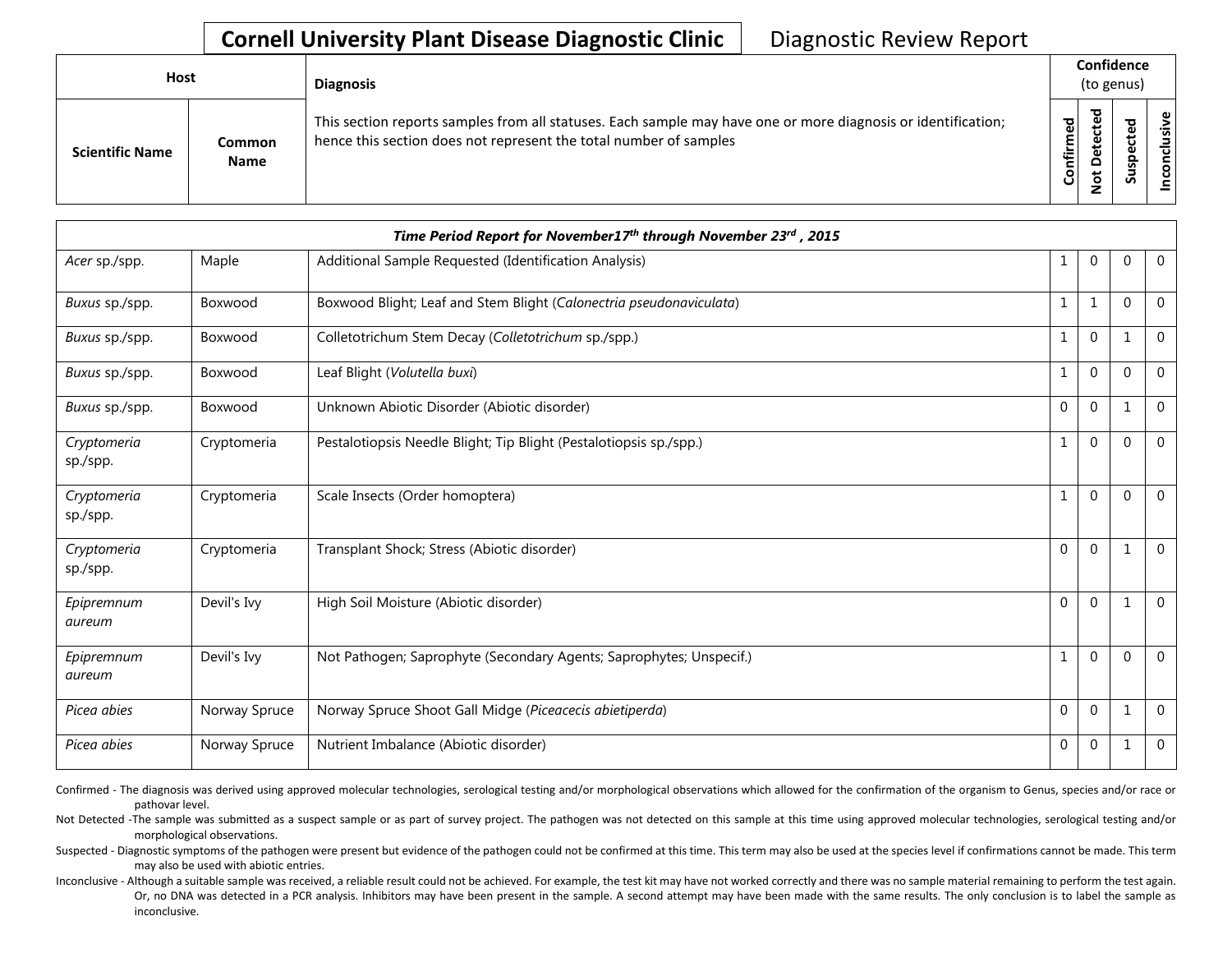## **Cornell University Plant Disease Diagnostic Clinic** | Diagnostic Review Report

| Host                   |                       | <b>Diagnosis</b>                                                                                                                                                                   |           | Confidence<br>(to genus)                            |                  |     |  |
|------------------------|-----------------------|------------------------------------------------------------------------------------------------------------------------------------------------------------------------------------|-----------|-----------------------------------------------------|------------------|-----|--|
| <b>Scientific Name</b> | Common<br><b>Name</b> | This section reports samples from all statuses. Each sample may have one or more diagnosis or identification;<br>hence this section does not represent the total number of samples | Confirmed | ᇃ<br>ஐ<br>ن<br>£<br>Φ<br>$\Omega$<br>پ<br>$\bullet$ | ਠ<br>௨<br>s<br>Ū | .≤. |  |

|                         |               | Time Period Report for November17th through November 23rd, 2015     |              |                |              |              |
|-------------------------|---------------|---------------------------------------------------------------------|--------------|----------------|--------------|--------------|
| Acer sp./spp.           | Maple         | Additional Sample Requested (Identification Analysis)               | 1            | $\overline{0}$ | $\mathbf{0}$ | $\mathbf 0$  |
| Buxus sp./spp.          | Boxwood       | Boxwood Blight; Leaf and Stem Blight (Calonectria pseudonaviculata) | 1            | 1              | $\mathbf{0}$ | $\mathbf 0$  |
| Buxus sp./spp.          | Boxwood       | Colletotrichum Stem Decay (Colletotrichum sp./spp.)                 | $\mathbf{1}$ | $\overline{0}$ | 1            | $\mathbf 0$  |
| Buxus sp./spp.          | Boxwood       | Leaf Blight (Volutella buxi)                                        | 1            | $\mathbf{0}$   | $\mathbf 0$  | $\mathbf 0$  |
| Buxus sp./spp.          | Boxwood       | Unknown Abiotic Disorder (Abiotic disorder)                         | 0            | 0              | $\mathbf 1$  | $\mathbf 0$  |
| Cryptomeria<br>sp./spp. | Cryptomeria   | Pestalotiopsis Needle Blight; Tip Blight (Pestalotiopsis sp./spp.)  | 1            | $\overline{0}$ | $\mathbf{0}$ | $\mathbf 0$  |
| Cryptomeria<br>sp./spp. | Cryptomeria   | Scale Insects (Order homoptera)                                     | $\mathbf{1}$ | $\overline{0}$ | $\mathbf{0}$ | $\mathbf{0}$ |
| Cryptomeria<br>sp./spp. | Cryptomeria   | Transplant Shock; Stress (Abiotic disorder)                         | $\mathbf{0}$ | $\mathbf{0}$   | $\mathbf 1$  | $\mathbf 0$  |
| Epipremnum<br>aureum    | Devil's Ivy   | High Soil Moisture (Abiotic disorder)                               | $\mathbf{0}$ | $\overline{0}$ | $\mathbf 1$  | $\mathbf{0}$ |
| Epipremnum<br>aureum    | Devil's Ivy   | Not Pathogen; Saprophyte (Secondary Agents; Saprophytes; Unspecif.) | $\mathbf{1}$ | $\overline{0}$ | $\mathbf{0}$ | $\mathbf{0}$ |
| Picea abies             | Norway Spruce | Norway Spruce Shoot Gall Midge (Piceacecis abietiperda)             | $\mathbf{0}$ | $\overline{0}$ | $\mathbf 1$  | $\mathbf{0}$ |
| Picea abies             | Norway Spruce | Nutrient Imbalance (Abiotic disorder)                               | $\mathbf{0}$ | $\mathbf{0}$   | 1            | $\mathbf 0$  |

Confirmed - The diagnosis was derived using approved molecular technologies, serological testing and/or morphological observations which allowed for the confirmation of the organism to Genus, species and/or race or pathovar level.

Not Detected -The sample was submitted as a suspect sample or as part of survey project. The pathogen was not detected on this sample at this time using approved molecular technologies, serological testing and/or morphological observations.

Suspected - Diagnostic symptoms of the pathogen were present but evidence of the pathogen could not be confirmed at this time. This term may also be used at the species level if confirmations cannot be made. This term may also be used with abiotic entries.

Inconclusive - Although a suitable sample was received, a reliable result could not be achieved. For example, the test kit may have not worked correctly and there was no sample material remaining to perform the test again. Or, no DNA was detected in a PCR analysis. Inhibitors may have been present in the sample. A second attempt may have been made with the same results. The only conclusion is to label the sample as inconclusive.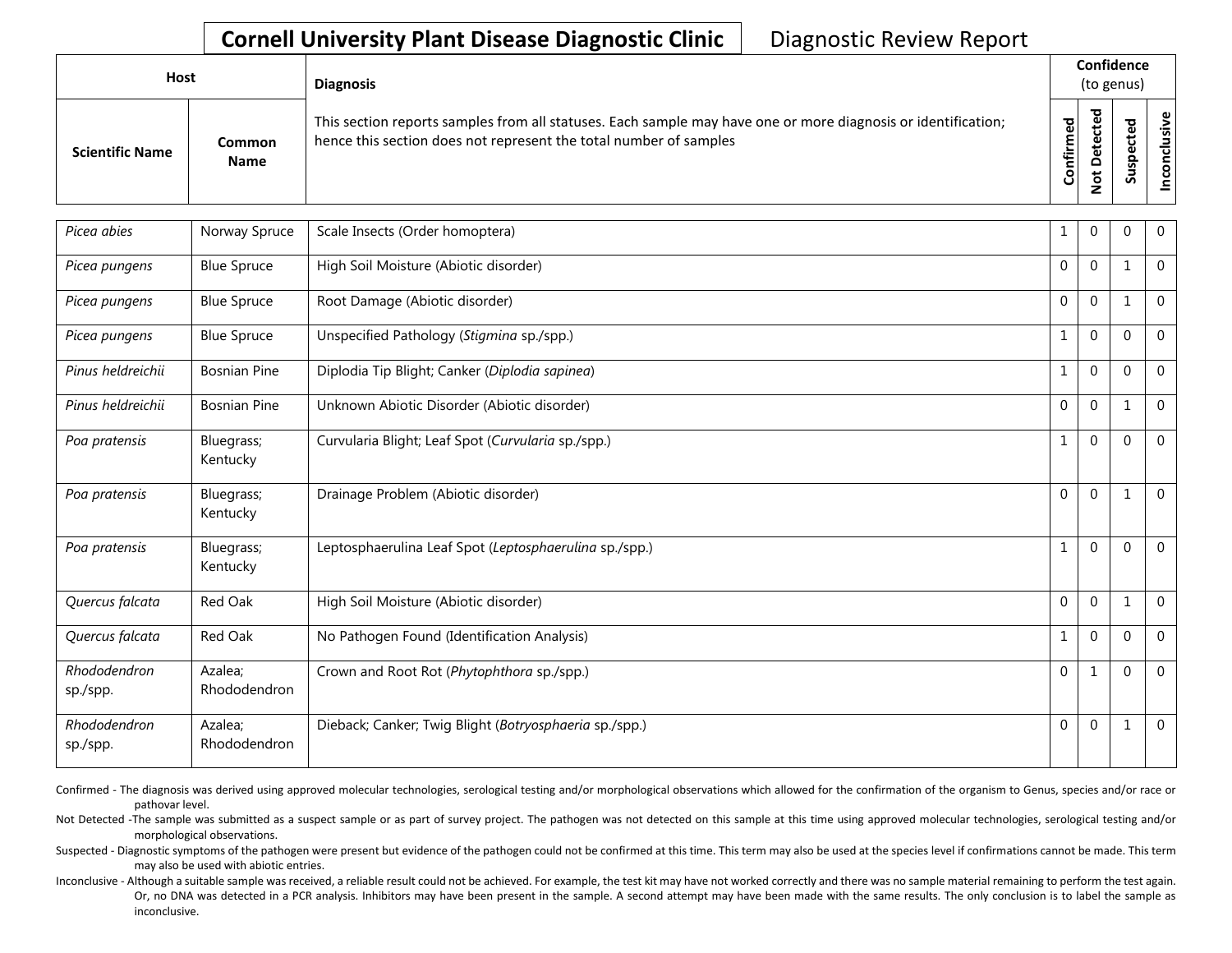## **Cornell University Plant Disease Diagnostic Clinic** | Diagnostic Review Report

| Host                   |                       | <b>Diagnosis</b>                                                                                                                                                                   |                   |   | Confidence<br>(to genus) |                                |
|------------------------|-----------------------|------------------------------------------------------------------------------------------------------------------------------------------------------------------------------------|-------------------|---|--------------------------|--------------------------------|
| <b>Scientific Name</b> | Common<br><b>Name</b> | This section reports samples from all statuses. Each sample may have one or more diagnosis or identification;<br>hence this section does not represent the total number of samples | P<br>Φ<br>Confirm | ъ | ъ<br>ω<br>ω<br>s         | $\mathbf{\omega}$<br>visu<br>ဒ |

| Picea abies              | Norway Spruce           | Scale Insects (Order homoptera)                        | $\mathbf{1}$ | $\mathbf{0}$ | 0            | $\mathbf{0}$   |
|--------------------------|-------------------------|--------------------------------------------------------|--------------|--------------|--------------|----------------|
| Picea pungens            | <b>Blue Spruce</b>      | High Soil Moisture (Abiotic disorder)                  | $\mathbf 0$  | $\mathbf{0}$ | 1            | $\mathbf 0$    |
| Picea pungens            | <b>Blue Spruce</b>      | Root Damage (Abiotic disorder)                         | $\mathbf 0$  | $\mathbf 0$  | $\mathbf{1}$ | $\overline{0}$ |
| Picea pungens            | <b>Blue Spruce</b>      | Unspecified Pathology (Stigmina sp./spp.)              | $\mathbf{1}$ | $\mathbf 0$  | $\Omega$     | $\overline{0}$ |
| Pinus heldreichii        | <b>Bosnian Pine</b>     | Diplodia Tip Blight; Canker (Diplodia sapinea)         | $\mathbf{1}$ | $\mathbf 0$  | $\mathbf{0}$ | $\overline{0}$ |
| Pinus heldreichii        | <b>Bosnian Pine</b>     | Unknown Abiotic Disorder (Abiotic disorder)            | $\Omega$     | $\Omega$     | $\mathbf 1$  | $\mathbf 0$    |
| Poa pratensis            | Bluegrass;<br>Kentucky  | Curvularia Blight; Leaf Spot (Curvularia sp./spp.)     | $\mathbf{1}$ | $\mathbf{0}$ | $\mathbf{0}$ | $\mathbf 0$    |
| Poa pratensis            | Bluegrass;<br>Kentucky  | Drainage Problem (Abiotic disorder)                    | $\Omega$     | $\Omega$     | $\mathbf 1$  | $\mathbf 0$    |
| Poa pratensis            | Bluegrass;<br>Kentucky  | Leptosphaerulina Leaf Spot (Leptosphaerulina sp./spp.) | $\mathbf{1}$ | $\Omega$     | $\Omega$     | $\overline{0}$ |
| Quercus falcata          | Red Oak                 | High Soil Moisture (Abiotic disorder)                  | $\Omega$     | $\Omega$     | 1            | $\mathbf 0$    |
| Quercus falcata          | Red Oak                 | No Pathogen Found (Identification Analysis)            | $\mathbf{1}$ | $\Omega$     | $\Omega$     | $\overline{0}$ |
| Rhododendron<br>sp./spp. | Azalea:<br>Rhododendron | Crown and Root Rot (Phytophthora sp./spp.)             | $\mathbf 0$  | $\mathbf{1}$ | 0            | $\mathbf 0$    |
| Rhododendron<br>sp./spp. | Azalea;<br>Rhododendron | Dieback; Canker; Twig Blight (Botryosphaeria sp./spp.) | $\mathbf 0$  | $\mathbf{0}$ | 1            | $\Omega$       |
|                          |                         |                                                        |              |              |              |                |

Confirmed - The diagnosis was derived using approved molecular technologies, serological testing and/or morphological observations which allowed for the confirmation of the organism to Genus, species and/or race or pathovar level.

Not Detected -The sample was submitted as a suspect sample or as part of survey project. The pathogen was not detected on this sample at this time using approved molecular technologies, serological testing and/or morphological observations.

Suspected - Diagnostic symptoms of the pathogen were present but evidence of the pathogen could not be confirmed at this time. This term may also be used at the species level if confirmations cannot be made. This term may also be used with abiotic entries.

Inconclusive - Although a suitable sample was received, a reliable result could not be achieved. For example, the test kit may have not worked correctly and there was no sample material remaining to perform the test again. Or, no DNA was detected in a PCR analysis. Inhibitors may have been present in the sample. A second attempt may have been made with the same results. The only conclusion is to label the sample as inconclusive.